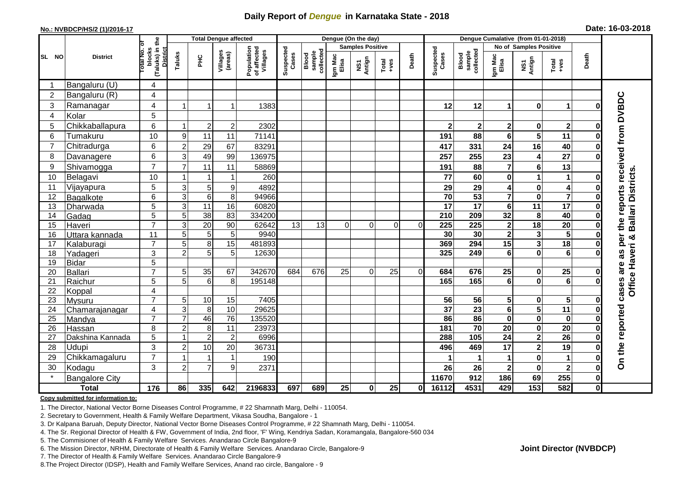## **Daily Report of** *Dengue* **in Karnataka State - 2018**

#### **No.: NVBDCP/HS/2 (1)/2016-17**

| Date: 16-03-2018 |  |  |  |
|------------------|--|--|--|
|------------------|--|--|--|

|                |                                   |                                                       |                     |                 | <b>Total Dengue affected</b> |                                       | Dengue (On the day) |                              |                         |               |                  |          |                    | Dengue Cumalative (from 01-01-2018) |                         |                         |                                                              |              |                                 |  |
|----------------|-----------------------------------|-------------------------------------------------------|---------------------|-----------------|------------------------------|---------------------------------------|---------------------|------------------------------|-------------------------|---------------|------------------|----------|--------------------|-------------------------------------|-------------------------|-------------------------|--------------------------------------------------------------|--------------|---------------------------------|--|
|                |                                   |                                                       |                     |                 |                              |                                       |                     |                              | <b>Samples Positive</b> |               |                  |          |                    |                                     | No of Samples Positive  |                         |                                                              |              |                                 |  |
| SL NO          | <b>District</b>                   | (Taluks) in the<br>District<br>Total No. of<br>blocks | Taluks              | ΞÉ              | Villages<br>(areas)          | Population<br>of affected<br>Villages | Suspected<br>Cases  | Blood<br>sample<br>collected | Igm Mac<br>Elisa        | NS1<br>Antign | Total<br>$+ve$ s | Death    | Suspected<br>Cases | collected<br><b>Blood</b><br>sample | Igm Mac<br>Elisa        | NS1<br>Antign           | $\begin{array}{c}\n\text{Total} \\ \text{Area}\n\end{array}$ | Death        |                                 |  |
|                | Bangaluru (U)                     | 4                                                     |                     |                 |                              |                                       |                     |                              |                         |               |                  |          |                    |                                     |                         |                         |                                                              |              |                                 |  |
| $\overline{2}$ | Bangaluru (R)                     | 4                                                     |                     |                 |                              |                                       |                     |                              |                         |               |                  |          |                    |                                     |                         |                         |                                                              |              |                                 |  |
| 3              | Ramanagar                         | 4                                                     |                     |                 | 1                            | 1383                                  |                     |                              |                         |               |                  |          | 12                 | 12                                  | 1                       | $\bf{0}$                | $\mathbf 1$                                                  | O            | the reports received from DVBDC |  |
| $\overline{4}$ | Kolar                             | 5                                                     |                     |                 |                              |                                       |                     |                              |                         |               |                  |          |                    |                                     |                         |                         |                                                              |              |                                 |  |
| 5              | Chikkaballapura                   | 6                                                     |                     | $\overline{c}$  | $\overline{c}$               | 2302                                  |                     |                              |                         |               |                  |          | $\mathbf 2$        | $\mathbf 2$                         | $\mathbf 2$             | $\mathbf 0$             | $\mathbf{2}$                                                 | $\bf{0}$     |                                 |  |
| 6              | Tumakuru                          | 10                                                    | 9                   | 11              | 11                           | 71141                                 |                     |                              |                         |               |                  |          | 191                | 88                                  | 6                       | $\overline{\mathbf{5}}$ | 11                                                           | ŋ            |                                 |  |
| $\overline{7}$ | Chitradurga                       | 6                                                     | $\overline{2}$      | 29              | 67                           | 83291                                 |                     |                              |                         |               |                  |          | 417                | 331                                 | 24                      | 16                      | 40                                                           | O            |                                 |  |
| 8              | Davanagere                        | 6                                                     | 3                   | 49              | 99                           | 136975                                |                     |                              |                         |               |                  |          | 257                | 255                                 | 23                      | 4                       | 27                                                           | ŋ            |                                 |  |
| 9              | Shivamogga                        | $\overline{7}$                                        | $\overline{7}$      | 11              | 11                           | 58869                                 |                     |                              |                         |               |                  |          | 191                | 88                                  | $\overline{7}$          | $\bf 6$                 | 13                                                           |              |                                 |  |
| 10             | Belagavi                          | 10                                                    |                     |                 | 1                            | 260                                   |                     |                              |                         |               |                  |          | 77                 | 60                                  | 0                       | 1                       | $\mathbf 1$                                                  | 0            | <b>Ballari Districts</b>        |  |
| 11             | Vijayapura                        | $\overline{5}$                                        | $\mathbf{3}$        | 5               | 9                            | 4892                                  |                     |                              |                         |               |                  |          | 29                 | 29                                  | 4                       | $\pmb{0}$               | $\overline{\mathbf{4}}$                                      | 0            |                                 |  |
| 12             | Bagalkote                         | 6                                                     | $\overline{3}$      | $6\phantom{1}6$ | 8                            | 94966                                 |                     |                              |                         |               |                  |          | $\overline{70}$    | 53                                  | $\overline{\mathbf{7}}$ | $\mathbf 0$             | $\overline{\mathbf{7}}$                                      | $\bf{0}$     |                                 |  |
| 13             | Dharwada                          | 5                                                     | $\mathbf{3}$        | $\overline{11}$ | 16                           | 60820                                 |                     |                              |                         |               |                  |          | 17                 | $\overline{17}$                     | 6                       | $\overline{11}$         | $\overline{17}$                                              | 0            |                                 |  |
| 14             | Gadag                             | $\overline{5}$                                        | $\overline{5}$      | $\overline{38}$ | 83                           | 334200                                |                     |                              |                         |               |                  |          | 210                | 209                                 | 32                      | 8                       | 40                                                           | O            |                                 |  |
| 15             | Haveri                            | $\overline{7}$                                        | 3                   | 20              | 90                           | 62642                                 | 13                  | 13                           | $\Omega$                | $\Omega$      | $\Omega$         | $\Omega$ | 225                | 225                                 | $\mathbf 2$             | 18                      | 20                                                           | $\bf{0}$     |                                 |  |
| 16             | Uttara kannada                    | $\overline{11}$                                       | 5                   | 5               | 5                            | 9940                                  |                     |                              |                         |               |                  |          | 30                 | 30                                  | $\overline{\mathbf{2}}$ | $\mathbf{3}$            | $\overline{\mathbf{5}}$                                      | 0            | per<br>×                        |  |
| 17             | Kalaburagi                        | $\overline{7}$                                        | 5                   | 8               | 15                           | 481893                                |                     |                              |                         |               |                  |          | 369                | 294                                 | $\overline{15}$         | 3                       | 18                                                           |              |                                 |  |
| 18             | Yadageri                          | 3                                                     | $\overline{2}$      | 5               | 5                            | 12630                                 |                     |                              |                         |               |                  |          | 325                | 249                                 | 6                       | $\mathbf 0$             | $\overline{6}$                                               |              | Office Haveri<br>as             |  |
| 19             | <b>Bidar</b>                      | 5                                                     |                     |                 |                              |                                       |                     |                              |                         |               |                  |          |                    |                                     |                         |                         |                                                              |              | are                             |  |
| 20             | Ballari                           | $\overline{7}$                                        | 5                   | 35              | 67                           | 342670                                | 684                 | 676                          | 25                      | $\Omega$      | 25               | $\Omega$ | 684                | 676                                 | 25                      | $\mathbf 0$             | $\overline{25}$                                              | 0            |                                 |  |
| 21             | Raichur                           | 5                                                     | 5                   | 6               | 8                            | 195148                                |                     |                              |                         |               |                  |          | 165                | 165                                 | 6                       | $\mathbf 0$             | $\overline{6}$                                               | O            |                                 |  |
| 22             | Koppal                            | 4                                                     |                     |                 |                              |                                       |                     |                              |                         |               |                  |          |                    |                                     |                         |                         |                                                              |              | cases                           |  |
| 23             | Mysuru                            | $\overline{7}$                                        | 5                   | 10              | 15                           | 7405                                  |                     |                              |                         |               |                  |          | 56                 | 56                                  | 5                       | $\mathbf 0$             | 5                                                            | O            |                                 |  |
| 24             | Chamarajanagar                    | 4<br>$\overline{7}$                                   | 3<br>$\overline{7}$ | 8<br>46         | 10<br>76                     | 29625                                 |                     |                              |                         |               |                  |          | 37<br>86           | $\overline{23}$<br>86               | 6<br>$\mathbf 0$        | 5                       | $\overline{11}$                                              | 0            |                                 |  |
| 25<br>26       | Mandya                            | 8                                                     | $\overline{2}$      | 8               | 11                           | 135520<br>23973                       |                     |                              |                         |               |                  |          | 181                | 70                                  | 20                      | $\pmb{0}$<br>$\pmb{0}$  | $\mathbf 0$<br>$\overline{20}$                               | 0<br>0       |                                 |  |
| 27             | <b>Hassan</b><br>Dakshina Kannada | 5                                                     |                     | $\overline{2}$  | $\overline{2}$               | 6996                                  |                     |                              |                         |               |                  |          | 288                | 105                                 | $\overline{24}$         | $\overline{2}$          | $\overline{26}$                                              | $\bf{0}$     |                                 |  |
| 28             | Udupi                             | $\overline{3}$                                        | $\overline{2}$      | 10              | 20                           | 36731                                 |                     |                              |                         |               |                  |          | 496                | 469                                 | 17                      | $\overline{\mathbf{2}}$ | 19                                                           | O            |                                 |  |
| 29             |                                   | $\overline{7}$                                        |                     |                 | 1                            | 190                                   |                     |                              |                         |               |                  |          |                    |                                     | 1                       | $\mathbf 0$             | 1                                                            | 0            | On the reported                 |  |
| 30             | Chikkamagaluru                    | 3                                                     |                     | 7               | 9                            |                                       |                     |                              |                         |               |                  |          |                    |                                     |                         |                         |                                                              |              |                                 |  |
| $\star$        | Kodagu                            |                                                       | $\overline{c}$      |                 |                              | 2371                                  |                     |                              |                         |               |                  |          | 26                 | 26                                  | $\mathbf 2$             | $\pmb{0}$               | $\overline{\mathbf{2}}$<br>255                               | 0            |                                 |  |
|                | <b>Bangalore City</b>             |                                                       |                     |                 |                              |                                       |                     |                              |                         |               |                  |          | 11670              | 912                                 | 186                     | 69                      |                                                              | $\mathbf{0}$ |                                 |  |
|                | <b>Total</b>                      | $\frac{1}{176}$                                       | 86                  | 335             | 642                          | 2196833                               | 697                 | 689                          | 25                      | $\mathbf{0}$  | 25               | 0l       | 16112              | 4531                                | 429                     | $\frac{1}{153}$         | 582                                                          | $\mathbf{0}$ |                                 |  |

#### **Copy submitted for information to:**

1. The Director, National Vector Borne Diseases Control Programme, # 22 Shamnath Marg, Delhi - 110054.

2. Secretary to Government, Health & Family Welfare Department, Vikasa Soudha, Bangalore - 1

3. Dr Kalpana Baruah, Deputy Director, National Vector Borne Diseases Control Programme, # 22 Shamnath Marg, Delhi - 110054.

4. The Sr. Regional Director of Health & FW, Government of India, 2nd floor, 'F' Wing, Kendriya Sadan, Koramangala, Bangalore-560 034

5. The Commisioner of Health & Family Welfare Services. Anandarao Circle Bangalore-9

6. The Mission Director, NRHM, Directorate of Health & Family Welfare Services. Anandarao Circle, Bangalore-9

7. The Director of Health & Family Welfare Services. Anandarao Circle Bangalore-9

8.The Project Director (IDSP), Health and Family Welfare Services, Anand rao circle, Bangalore - 9